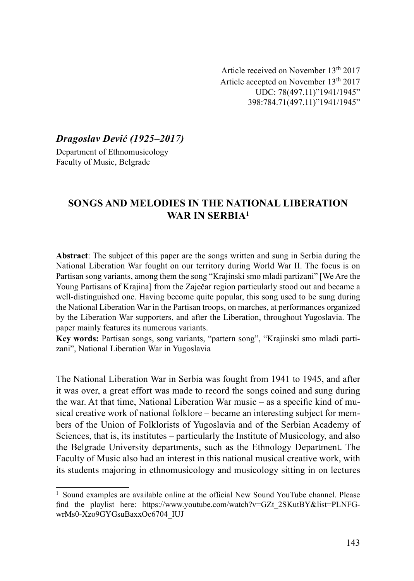Article received on November 13th 2017 Article accepted on November 13th 2017 UDC: 78(497.11)"1941/1945" 398:784.71(497.11)"1941/1945"

Dragoslav Dević (1925–2017)

Department of Ethnomusicology Faculty of Music, Belgrade

# SONGS AND MELODIES IN THE NATIONAL LIBERATION WAR IN SERBIA<sup>1</sup>

Аbstract: The subject of this paper are the songs written and sung in Serbia during the National Liberation War fought on our territory during World War II. The focus is on Partisan song variants, among them the song "Krajinski smo mladi partizani" [We Are the Young Partisans of Krajina] from the Zaječar region particularly stood out and became a well-distinguished one. Having become quite popular, this song used to be sung during the National Liberation War in the Partisan troops, on marches, at performances organized by the Liberation War supporters, and after the Liberation, throughout Yugoslavia. The paper mainly features its numerous variants.

Key words: Partisan songs, song variants, "pattern song", "Krajinski smo mladi partizani", National Liberation War in Yugoslavia

The National Liberation War in Serbia was fought from 1941 to 1945, and after it was over, a great effort was made to record the songs coined and sung during the war. At that time, National Liberation War music – as a specific kind of musical creative work of national folklore – became an interesting subject for members of the Union of Folklorists of Yugoslavia and of the Serbian Academy of Sciences, that is, its institutes – particularly the Institute of Musicology, and also the Belgrade University departments, such as the Ethnology Department. The Faculty of Music also had an interest in this national musical creative work, with its students majoring in ethnomusicology and musicology sitting in on lectures

 $<sup>1</sup>$  Sound examples are available online at the official New Sound YouTube channel. Please</sup> find the playlist here: https://www.youtube.com/watch?v=GZt\_2SKutBY&list=PLNFGwrMs0-Xzo9GYGsuBaxxOc6704\_IUJ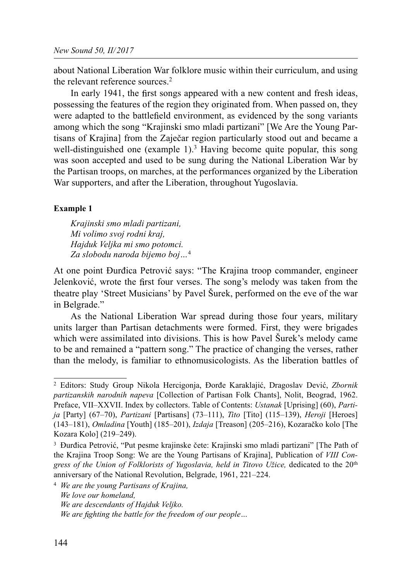about National Liberation War folklore music within their curriculum, and using the relevant reference sources.<sup>2</sup>

In early 1941, the first songs appeared with a new content and fresh ideas, possessing the features of the region they originated from. When passed on, they were adapted to the battle field environment, as evidenced by the song variants among which the song "Krajinski smo mladi partizani" [We Are the Young Partisans of Krajina] from the Zaječar region particularly stood out and became a well-distinguished one (example 1).<sup>3</sup> Having become quite popular, this song was soon accepted and used to be sung during the National Liberation War by the Partisan troops, on marches, at the performances organized by the Liberation War supporters, and after the Liberation, throughout Yugoslavia.

### Example 1

Krajinski smo mladi partizani, Mi volimo svoj rodni kraj, Hajduk Veljka mi smo potomci. Za slobodu naroda bijemo boj…<sup>4</sup>

At one point Đurđica Petrović says: "The Krajina troop commander, engineer Jelenković, wrote the first four verses. The song's melody was taken from the theatre play 'Street Musicians' by Pavel Šurek, performed on the eve of the war in Belgrade."

As the National Liberation War spread during those four years, military units larger than Partisan detachments were formed. First, they were brigades which were assimilated into divisions. This is how Pavel Šurek's melody came to be and remained a "pattern song." The practice of changing the verses, rather than the melody, is familiar to ethnomusicologists. As the liberation battles of

<sup>2</sup> Editors: Study Group Nikola Hercigonja, Đorđe Karaklajić, Dragoslav Dević, Zbornik partizanskih narodnih napeva [Collection of Partisan Folk Chants], Nolit, Beograd, 1962. Preface, VII–XXVII. Index by collectors. Table of Contents: Ustanak [Uprising] (60), Partija [Party] (67-70), Partizani [Partisans] (73-111), Tito [Tito] (115-139), Heroji [Heroes] (143–181), Omladina [Youth] (185–201), Izdaja [Treason] (205–216), Kozaračko kolo [The Kozara Kolo] (219–249).

<sup>3</sup> Đurđica Petrović, "Put pesme krajinske čete: Krajinski smo mladi partizani" [The Path of the Krajina Troop Song: We are the Young Partisans of Krajina], Publication of VIII Congress of the Union of Folklorists of Yugoslavia, held in Titovo Užice, dedicated to the 20<sup>th</sup> anniversary of the National Revolution, Belgrade, 1961, 221–224.

<sup>4</sup> We are the young Partisans of Krajina, We love our homeland, We are descendants of Hajduk Veljko. We are fighting the battle for the freedom of our people...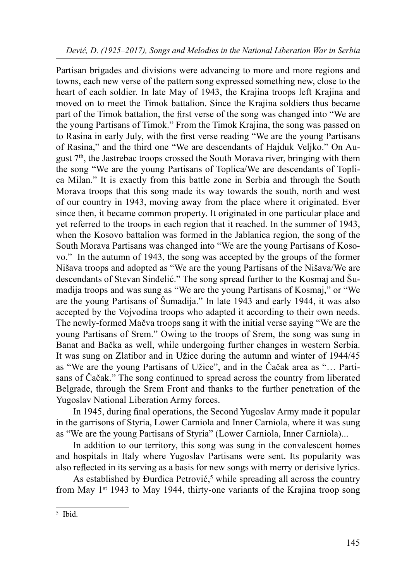Partisan brigades and divisions were advancing to more and more regions and towns, each new verse of the pattern song expressed something new, close to the heart of each soldier. In late May of 1943, the Krajina troops left Krajina and moved on to meet the Timok battalion. Since the Krajina soldiers thus became part of the Timok battalion, the first verse of the song was changed into "We are the young Partisans of Timok." From the Timok Krajina, the song was passed on to Rasina in early July, with the first verse reading "We are the young Partisans of Rasina," and the third one "We are descendants of Hajduk Veljko." On August 7th, the Jastrebac troops crossed the South Morava river, bringing with them the song "We are the young Partisans of Toplica/We are descendants of Toplica Milan." It is exactly from this battle zone in Serbia and through the South Morava troops that this song made its way towards the south, north and west of our country in 1943, moving away from the place where it originated. Ever since then, it became common property. It originated in one particular place and yet referred to the troops in each region that it reached. In the summer of 1943, when the Kosovo battalion was formed in the Jablanica region, the song of the South Morava Partisans was changed into "We are the young Partisans of Kosovo." In the autumn of 1943, the song was accepted by the groups of the former Nišava troops and adopted as "We are the young Partisans of the Nišava/We are descendants of Stevan Sinđelić." The song spread further to the Kosmaj and Šumadija troops and was sung as "We are the young Partisans of Kosmaj," or "We are the young Partisans of Šumadija." In late 1943 and early 1944, it was also accepted by the Vojvodina troops who adapted it according to their own needs. The newly-formed Mačva troops sang it with the initial verse saying "We are the young Partisans of Srem." Owing to the troops of Srem, the song was sung in Banat and Bačka as well, while undergoing further changes in western Serbia. It was sung on Zlatibor and in Užice during the autumn and winter of 1944/45 as "We are the young Partisans of Užice", аnd in the Čačak area as "… Partisans of Čačak." The song continued to spread across the country from liberated Belgrade, through the Srem Front and thanks to the further penetration of the Yugoslav National Liberation Army forces.

In 1945, during final operations, the Second Yugoslav Army made it popular in the garrisons of Styria, Lower Carniola and Inner Carniola, where it was sung as "We are the young Partisans of Styria" (Lower Carniola, Inner Carniola)...

In addition to our territory, this song was sung in the convalescent homes and hospitals in Italy where Yugoslav Partisans were sent. Its popularity was also reflected in its serving as a basis for new songs with merry or derisive lyrics.

As established by Đurđica Petrović, 5 while spreading all across the country from May 1st 1943 to May 1944, thirty-one variants of the Krajina troop song

<sup>5</sup> Ibid.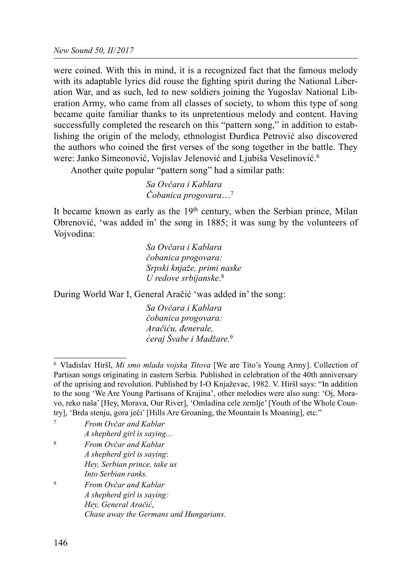were coined. With this in mind, it is a recognized fact that the famous melody with its adaptable lyrics did rouse the fighting spirit during the National Liberation War, and as such, led to new soldiers joining the Yugoslav National Liberation Army, who came from all classes of society, to whom this type of song became quite familiar thanks to its unpretentious melody and content. Having successfully completed the research on this "pattern song," in addition to establishing the origin of the melody, ethnologist Đurđica Petrović also discovered the authors who coined the first verses of the song together in the battle. They were: Janko Simeonović, Vojislav Jelenović and Ljubiša Veselinović. 6

Another quite popular "pattern song" had a similar path:

 Sa Ovčara i Kablara Čobanica progovara…7

It became known as early as the  $19<sup>th</sup>$  century, when the Serbian prince, Milan Obrenović, 'was added in' the song in 1885; it was sung by the volunteers of Vojvodina:

 Sa Ovčara i Kablara čobanica progovara: Srpski knjaže, primi naske U redove srbijanske. 8

During World War I, General Aračić 'was added in' the song:

 Sa Ovčara i Kablara čobanica progovara: Aračiću, đenerale, ćeraj Švabe i Madžare.<sup>9</sup>

<sup>&</sup>lt;sup>6</sup> Vladislav Hiršl, Mi smo mlada vojska Titova [We are Tito's Young Army]. Collection of Partisan songs originating in eastern Serbia. Published in celebration of the 40th anniversary of the uprising and revolution. Published by I-O Knjaževac, 1982. V. Hiršl says: "In addition to the song 'We Are Young Partisans of Krajina', other melodies were also sung: 'Oj, Moravo, reko naša' [Hey, Morava, Our River], 'Omladina cele zemlje' [Youth of the Whole Country], 'Brda stenju, gora ječi' [Hills Are Groaning, the Mountain Is Moaning], etc."

|             | From Ovčar and Kablar        |  |
|-------------|------------------------------|--|
|             | A shepherd girl is saying    |  |
| 8           | From Ovčar and Kablar        |  |
|             | A shepherd girl is saying.   |  |
|             | Hey, Serbian prince, take us |  |
|             | Into Serbian ranks.          |  |
| $\mathbf Q$ | From Ovčar and Kablar        |  |
|             | 1 1 1 1 1 1 1                |  |

A shepherd girl is saying: Hey, General Aračić, Chase away the Germans and Hungarians.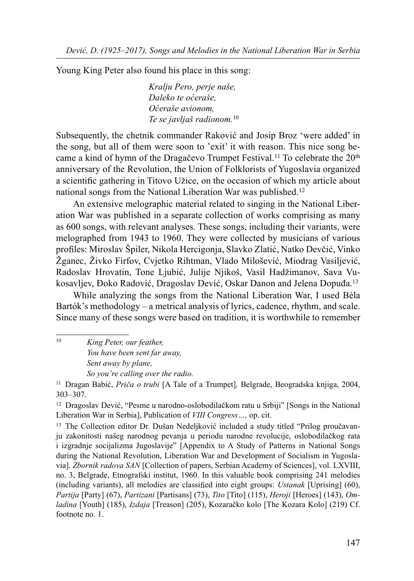Young King Peter also found his place in this song:

 Kralju Pero, perje naše, Daleko te oćeraše, Oćeraše avionom, Te se javljaš radionom.<sup>10</sup>

Subsequently, the chetnik commander Raković and Josip Broz 'were added' in the song, but all of them were soon to 'exit' it with reason. This nice song became a kind of hymn of the Dragačevo Trumpet Festival.<sup>11</sup> To celebrate the  $20<sup>th</sup>$ anniversary of the Revolution, the Union of Folklorists of Yugoslavia organized a scientific gathering in Titovo Užice, on the occasion of which my article about national songs from the National Liberation War was published.12

An extensive melographic material related to singing in the National Liberation War was published in a separate collection of works comprising as many as 600 songs, with relevant analyses. These songs, including their variants, were melographed from 1943 to 1960. They were collected by musicians of various profiles: Miroslav Špiler, Nikola Hercigonja, Slavko Zlatić, Natko Devčić, Vinko Žganec, Živko Firfov, Cvjetko Rihtman, Vlado Milošević, Miodrag Vasiljević, Radoslav Hrovatin, Tone Ljubić, Julije Njikoš, Vasil Hadžimanov, Sava Vukosavljev, Đoko Radović, Dragoslav Dević, Oskar Danon and Jelena Dopuđa.13

While analyzing the songs from the National Liberation War, I used Béla Bartók's methodology – a metrical analysis of lyrics, cadence, rhythm, and scale. Since many of these songs were based on tradition, it is worthwhile to remember

<sup>10</sup> King Peter, our feather, You have been sent far away, Sent away by plane, So you're calling over the radio.

<sup>11</sup> Dragan Babić, *Priča o trubi* [A Tale of a Trumpet], Belgrade, Beogradska knjiga, 2004, 303–307.

12 Dragoslav Dević, "Pesme u narodno-oslobodilačkom ratu u Srbiji" [Songs in the National Liberation War in Serbia], Publication of VIII Congress…, op. cit.

13 The Collection editor Dr. Dušan Nedeljković included a study titled "Prilog proučavanju zakonitosti našeg narodnog pevanja u periodu narodne revolucije, oslobodilačkog rata i izgradnje socijalizma Jugoslavije" [Appendix to A Study of Patterns in National Songs during the National Revolution, Liberation War and Development of Socialism in Yugoslavia]. Zbornik radova SAN [Collection of papers, Serbian Academy of Sciences], vol. LXVIII, no. 3, Belgrade, Etnografski institut, 1960. In this valuable book comprising 241 melodies (including variants), all melodies are classified into eight groups: *Ustanak* [Uprising]  $(60)$ , Partija [Party] (67), Partizani [Partisans] (73), Tito [Tito] (115), Heroji [Heroes] (143), Omladina [Youth] (185), Izdaja [Treason] (205), Kozaračko kolo [The Kozara Kolo] (219) Cf. footnote no. 1.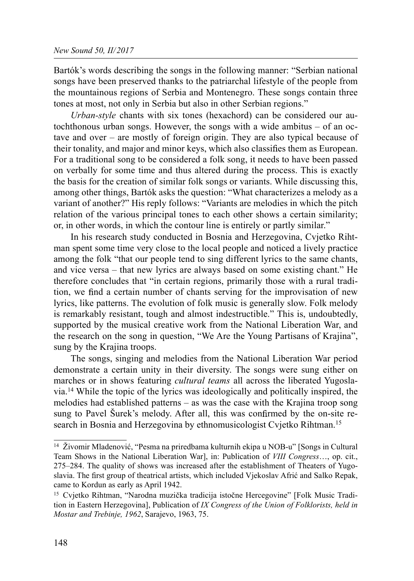Bartók's words describing the songs in the following manner: "Serbian national songs have been preserved thanks to the patriarchal lifestyle of the people from the mountainous regions of Serbia and Montenegro. These songs contain three tones at most, not only in Serbia but also in other Serbian regions."

Urban-style chants with six tones (hexachord) can be considered our autochthonous urban songs. However, the songs with a wide ambitus – of an octave and over – are mostly of foreign origin. They are also typical because of their tonality, and major and minor keys, which also classifies them as European. For a traditional song to be considered a folk song, it needs to have been passed on verbally for some time and thus altered during the process. This is exactly the basis for the creation of similar folk songs or variants. While discussing this, among other things, Bartók asks the question: "What characterizes a melody as a variant of another?" His reply follows: "Variants are melodies in which the pitch relation of the various principal tones to each other shows a certain similarity; or, in other words, in which the contour line is entirely or partly similar."

In his research study conducted in Bosnia and Herzegovina, Cvjetko Rihtman spent some time very close to the local people and noticed a lively practice among the folk "that our people tend to sing different lyrics to the same chants, and vice versa – that new lyrics are always based on some existing chant." He therefore concludes that "in certain regions, primarily those with a rural tradition, we find a certain number of chants serving for the improvisation of new lyrics, like patterns. The evolution of folk music is generally slow. Folk melody is remarkably resistant, tough and almost indestructible." This is, undoubtedly, supported by the musical creative work from the National Liberation War, and the research on the song in question, "We Are the Young Partisans of Krajina", sung by the Krajina troops.

The songs, singing and melodies from the National Liberation War period demonstrate a certain unity in their diversity. The songs were sung either on marches or in shows featuring *cultural teams* all across the liberated Yugoslavia.14 While the topic of the lyrics was ideologically and politically inspired, the melodies had established patterns – as was the case with the Krajina troop song sung to Pavel Šurek's melody. After all, this was confirmed by the on-site research in Bosnia and Herzegovina by ethnomusicologist Cvjetko Rihtman.<sup>15</sup>

<sup>14</sup> Živomir Mladenović, "Pesma na priredbama kulturnih ekipa u NOB-u" [Songs in Cultural Team Shows in the National Liberation War], in: Publication of VIII Congress…, op. cit., 275–284. The quality of shows was increased after the establishment of Theaters of Yugoslavia. The first group of theatrical artists, which included Vjekoslav Afrić and Salko Repak, came to Kordun as early as April 1942.

<sup>15</sup> Cvjetko Rihtman, "Narodna muzička tradicija istočne Hercegovine" [Folk Music Tradition in Eastern Herzegovinal, Publication of IX Congress of the Union of Folklorists, held in Mostar and Trebinje, 1962, Sarajevo, 1963, 75.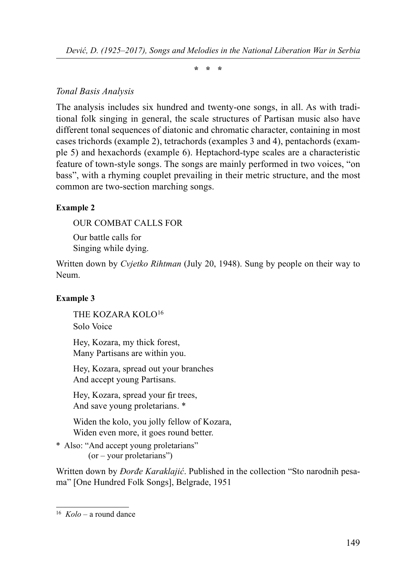\* \* \*

## Tonal Basis Analysis

The analysis includes six hundred and twenty-one songs, in all. As with traditional folk singing in general, the scale structures of Partisan music also have different tonal sequences of diatonic and chromatic character, containing in most cases trichords (example 2), tetrachords (examples 3 and 4), pentachords (example 5) and hexachords (example 6). Heptachord-type scales are a characteristic feature of town-style songs. The songs are mainly performed in two voices, "on bass", with a rhyming couplet prevailing in their metric structure, and the most common are two-section marching songs.

### Example 2

OUR COMBAT CALLS FOR Our battle calls for Singing while dying.

Written down by *Cvjetko Rihtman* (July 20, 1948). Sung by people on their way to Neum.

### Example 3

THE KOZARA KOLO16 Solo Voice

Hey, Kozara, my thick forest, Many Partisans are within you.

Hey, Kozara, spread out your branches And accept young Partisans.

Hey, Kozara, spread your fir trees, And save young proletarians. \*

Widen the kolo, you jolly fellow of Kozara, Widen even more, it goes round better.

\* Also: "And accept young proletarians" (or – your proletarians")

Written down by *Đorđe Karaklajić*. Published in the collection "Sto narodnih pesama" [One Hundred Folk Songs], Belgrade, 1951

 $16$  Kolo – a round dance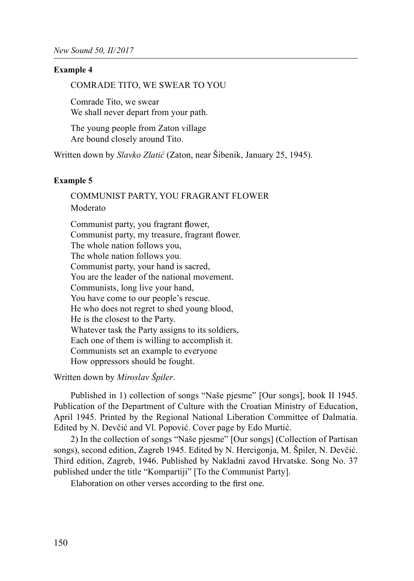#### Example 4

COMRADE TITO, WE SWEAR TO YOU

Comrade Tito, we swear We shall never depart from your path.

The young people from Zaton village Are bound closely around Tito.

Written down by Slavko Zlatić (Zaton, near Šibenik, January 25, 1945).

#### Example 5

COMMUNIST PARTY, YOU FRAGRANT FLOWER Moderato

Communist party, you fragrant flower, Communist party, my treasure, fragrant flower. The whole nation follows you, The whole nation follows you. Communist party, your hand is sacred, You are the leader of the national movement. Communists, long live your hand, You have come to our people's rescue. He who does not regret to shed young blood, He is the closest to the Party. Whatever task the Party assigns to its soldiers, Each one of them is willing to accomplish it. Communists set an example to everyone How oppressors should be fought.

Written down by *Miroslav Špiler*.

Published in 1) collection of songs "Naše pjesme" [Our songs], book II 1945. Publication of the Department of Culture with the Croatian Ministry of Education, April 1945. Printed by the Regional National Liberation Committee of Dalmatia. Edited by N. Devčić and Vl. Popović. Cover page by Edo Murtić.

2) In the collection of songs "Naše pjesme" [Our songs] (Collection of Partisan songs), second edition, Zagreb 1945. Edited by N. Hercigonja, M. Špiler, N. Devčić. Third edition, Zagreb, 1946. Published by Nakladni zavod Hrvatske. Song No. 37 published under the title "Kompartiji" [To the Communist Party].

Elaboration on other verses according to the first one.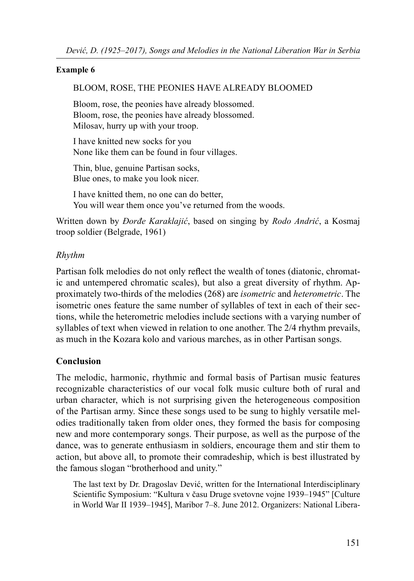#### Example 6

### BLOOM, ROSE, THE PEONIES HAVE ALREADY BLOOMED

Bloom, rose, the peonies have already blossomed. Bloom, rose, the peonies have already blossomed. Milosav, hurry up with your troop.

I have knitted new socks for you None like them can be found in four villages.

Thin, blue, genuine Partisan socks, Blue ones, to make you look nicer.

I have knitted them, no one can do better, You will wear them once you've returned from the woods.

Written down by *Đorđe Karaklajić*, based on singing by *Rodo Andrić*, a Kosmaj troop soldier (Belgrade, 1961)

## Rhythm

Partisan folk melodies do not only reflect the wealth of tones (diatonic, chromatic and untempered chromatic scales), but also a great diversity of rhythm. Approximately two-thirds of the melodies (268) are isometric and heterometric. The isometric ones feature the same number of syllables of text in each of their sections, while the heterometric melodies include sections with a varying number of syllables of text when viewed in relation to one another. The 2/4 rhythm prevails, as much in the Kozara kolo and various marches, as in other Partisan songs.

# Conclusion

The melodic, harmonic, rhythmic and formal basis of Partisan music features recognizable characteristics of our vocal folk music culture both of rural and urban character, which is not surprising given the heterogeneous composition of the Partisan army. Since these songs used to be sung to highly versatile melodies traditionally taken from older ones, they formed the basis for composing new and more contemporary songs. Their purpose, as well as the purpose of the dance, was to generate enthusiasm in soldiers, encourage them and stir them to action, but above all, to promote their comradeship, which is best illustrated by the famous slogan "brotherhood and unity."

The last text by Dr. Dragoslav Dević, written for the International Interdisciplinary Scientific Symposium: "Kultura v času Druge svetovne vojne 1939–1945" [Culture in World War II 1939–1945], Maribor 7–8. June 2012. Organizers: National Libera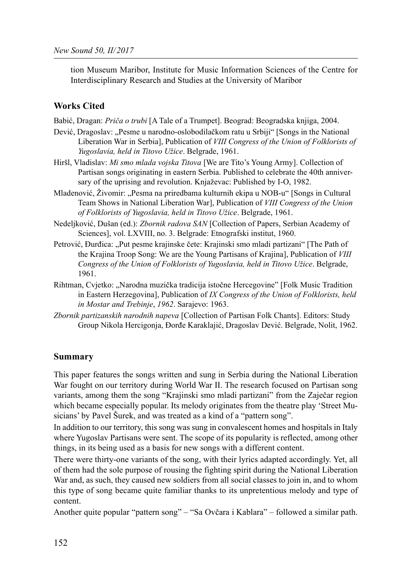tion Museum Maribor, Institute for Music Information Sciences of the Centre for Interdisciplinary Research and Studies at the University of Maribor

#### Works Cited

- Babić, Dragan: Priča o trubi [A Tale of a Trumpet]. Beograd: Beogradska knjiga, 2004.
- Dević, Dragoslav: "Pesme u narodno-oslobodilačkom ratu u Srbiji" [Songs in the National Liberation War in Serbia], Publication of VIII Congress of the Union of Folklorists of Yugoslavia, held in Titovo Užice. Belgrade, 1961.
- Hiršl, Vladislav: Mi smo mlada vojska Titova [We are Tito's Young Army]. Collection of Partisan songs originating in eastern Serbia. Published to celebrate the 40th anniversary of the uprising and revolution. Knjaževac: Published by I-O, 1982.
- Mladenović, Živomir: "Pesma na priredbama kulturnih ekipa u NOB-u" [Songs in Cultural Team Shows in National Liberation War], Publication of VIII Congress of the Union of Folklorists of Yugoslavia, held in Titovo Užice. Belgrade, 1961.
- Nedeljković, Dušan (ed.): Zbornik radova SAN [Collection of Papers, Serbian Academy of Sciences], vol. LXVIII, no. 3. Belgrade: Etnografski institut, 1960.
- Petrović, Đurđica: "Put pesme krajinske čete: Krajinski smo mladi partizani" [The Path of the Krajina Troop Song: We are the Young Partisans of Krajina], Publication of VIII Congress of the Union of Folklorists of Yugoslavia, held in Titovo Užice. Belgrade, 1961.
- Rihtman, Cvjetko: "Narodna muzička tradicija istočne Hercegovine" [Folk Music Tradition in Eastern Herzegovina], Publication of IX Congress of the Union of Folklorists, held in Mostar and Trebinje, 1962. Sarajevo: 1963.
- Zbornik partizanskih narodnih napeva [Collection of Partisan Folk Chants]. Editors: Study Group Nikola Hercigonja, Đorđe Karaklajić, Dragoslav Dević. Belgrade, Nolit, 1962.

#### Summary

This paper features the songs written and sung in Serbia during the National Liberation War fought on our territory during World War II. The research focused on Partisan song variants, among them the song "Krajinski smo mladi partizani" from the Zaječar region which became especially popular. Its melody originates from the theatre play 'Street Musicians' by Pavel Šurek, and was treated as a kind of a "pattern song".

In addition to our territory, this song was sung in convalescent homes and hospitals in Italy where Yugoslav Partisans were sent. The scope of its popularity is reflected, among other things, in its being used as a basis for new songs with a different content.

There were thirty-one variants of the song, with their lyrics adapted accordingly. Yet, all of them had the sole purpose of rousing the fighting spirit during the National Liberation War and, as such, they caused new soldiers from all social classes to join in, and to whom this type of song became quite familiar thanks to its unpretentious melody and type of content.

Another quite popular "pattern song" – "Sa Ovčara i Kablara" – followed a similar path.